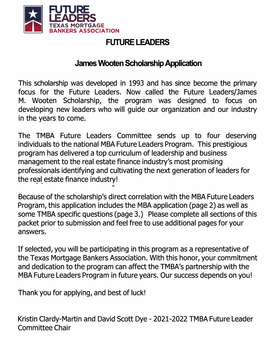

# **FUTURE LEADERS**

## **James Wooten Scholarship Application**

This scholarship was developed in 1993 and has since become the primary focus for the Future Leaders. Now called the Future Leaders/James M. Wooten Scholarship, the program was designed to focus on developing new leaders who will guide our organization and our industry in the years to come.

The TMBA Future Leaders Committee sends up to four deserving individuals to the national MBA Future Leaders Program. This prestigious program has delivered a top curriculum of leadership and business management to the real estate finance industry's most promising professionals identifying and cultivating the next generation of leaders for the real estate finance industry!

Because of the scholarship's direct correlation with the MBA Future Leaders Program, this application includes the MBA application (page 2) as well as some TMBA specific questions (page 3.) Please complete all sections of this packet prior to submission and feel free to use additional pages for your answers.

If selected, you will be participating in this program as a representative of the Texas Mortgage Bankers Association. With this honor, your commitment and dedication to the program can affect the TMBA's partnership with the MBA Future Leaders Program in future years. Our success depends on you!

Thank you for applying, and best of luck!

Kristin Clardy-Martin and David Scott Dye - 2021-2022 TMBA Future Leader Committee Chair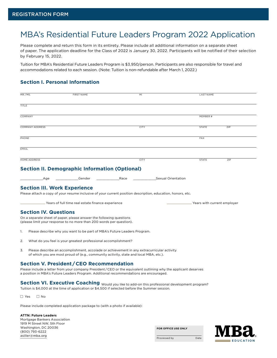## MBA's Residential Future Leaders Program 2022 Application

Please complete and return this form in its entirety. Please include all additional information on a separate sheet of paper. The application deadline for the Class of 2022 is January 30, 2022. Participants will be notified of their selection by February 15, 2022.

Tuition for MBA's Residential Future Leaders Program is \$3,950/person. Participants are also responsible for travel and accommodations related to each session. (Note: Tuition is non-refundable after March 1, 2022.)

## **Section I. Personal Information**

|              | MR./MS.<br><b>FIRST NAME</b>                                                                                                                                                        |                                                                                                                                                                                                                                                            |      | MI                 |                               | <b>LAST NAME</b> |  |
|--------------|-------------------------------------------------------------------------------------------------------------------------------------------------------------------------------------|------------------------------------------------------------------------------------------------------------------------------------------------------------------------------------------------------------------------------------------------------------|------|--------------------|-------------------------------|------------------|--|
| <b>TITLE</b> |                                                                                                                                                                                     |                                                                                                                                                                                                                                                            |      |                    |                               |                  |  |
|              | COMPANY                                                                                                                                                                             |                                                                                                                                                                                                                                                            |      |                    | MEMBER #                      |                  |  |
|              | <b>COMPANY ADDRESS</b>                                                                                                                                                              |                                                                                                                                                                                                                                                            |      | <b>CITY</b>        | <b>STATE</b>                  | ZIP              |  |
| PHONE        |                                                                                                                                                                                     |                                                                                                                                                                                                                                                            |      |                    | <b>FAX</b>                    |                  |  |
| EMAIL        |                                                                                                                                                                                     |                                                                                                                                                                                                                                                            |      |                    |                               |                  |  |
|              | <b>HOME ADDRESS</b>                                                                                                                                                                 |                                                                                                                                                                                                                                                            |      | <b>CITY</b>        | <b>STATE</b>                  | ZIP              |  |
|              |                                                                                                                                                                                     | <b>Section II. Demographic Information (Optional)</b>                                                                                                                                                                                                      |      |                    |                               |                  |  |
|              | Age                                                                                                                                                                                 | Gender                                                                                                                                                                                                                                                     | Race | Sexual Orientation |                               |                  |  |
|              | <b>Section III. Work Experience</b>                                                                                                                                                 | Please attach a copy of your resume inclusive of your current position description, education, honors, etc.<br>. Years of full time real estate finance experience                                                                                         |      |                    | . Years with current employer |                  |  |
|              | <b>Section IV. Questions</b>                                                                                                                                                        |                                                                                                                                                                                                                                                            |      |                    |                               |                  |  |
|              |                                                                                                                                                                                     | On a separate sheet of paper, please answer the following questions<br>(please limit your response to no more than 200 words per question).                                                                                                                |      |                    |                               |                  |  |
| 1.           | Please describe why you want to be part of MBA's Future Leaders Program.                                                                                                            |                                                                                                                                                                                                                                                            |      |                    |                               |                  |  |
| 2.           | What do you feel is your greatest professional accomplishment?                                                                                                                      |                                                                                                                                                                                                                                                            |      |                    |                               |                  |  |
| 3.           | Please describe an accomplishment, accolade or achievement in any extracurricular activity<br>of which you are most proud of (e.g., community activity, state and local MBA, etc.). |                                                                                                                                                                                                                                                            |      |                    |                               |                  |  |
|              |                                                                                                                                                                                     | <b>Section V. President/CEO Recommendation</b><br>Please include a letter from your company President/CEO or the equivalent outlining why the applicant deserves<br>a position in MBA's Future Leaders Program. Additional recommendations are encouraged. |      |                    |                               |                  |  |
|              |                                                                                                                                                                                     | Section VI. Executive Coaching Would you like to add-on this professional development program?                                                                                                                                                             |      |                    |                               |                  |  |

Tuition is \$4,000 at the time of application or \$4,500 if selected before the Summer session.

□ Yes □ No

Please include completed application package to (with a photo if available):

#### **ATTN: Future Leaders**

Mortgage Bankers Association 1919 M Street NW, 5th Floor Washington, DC 20036 (800) 793-6222 [asiller@mba.org](mailto:asiller@mba.org)

**FOR OFFICE USE ONLY**



Processed by Date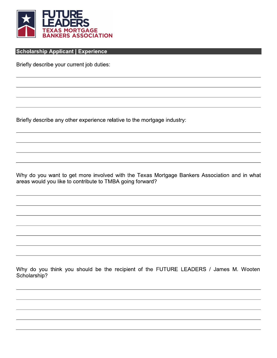

## **Scholarship Applicant | Experience**

Briefly describe your current job duties:

Briefly describe any other experience relative to the mortgage industry:

Why do you want to get more involved with the Texas Mortgage Bankers Association and in what areas would you like to contribute to TMBA going forward?

Why do you think you should be the recipient of the FUTURE LEADERS / James M. Wooten Scholarship?